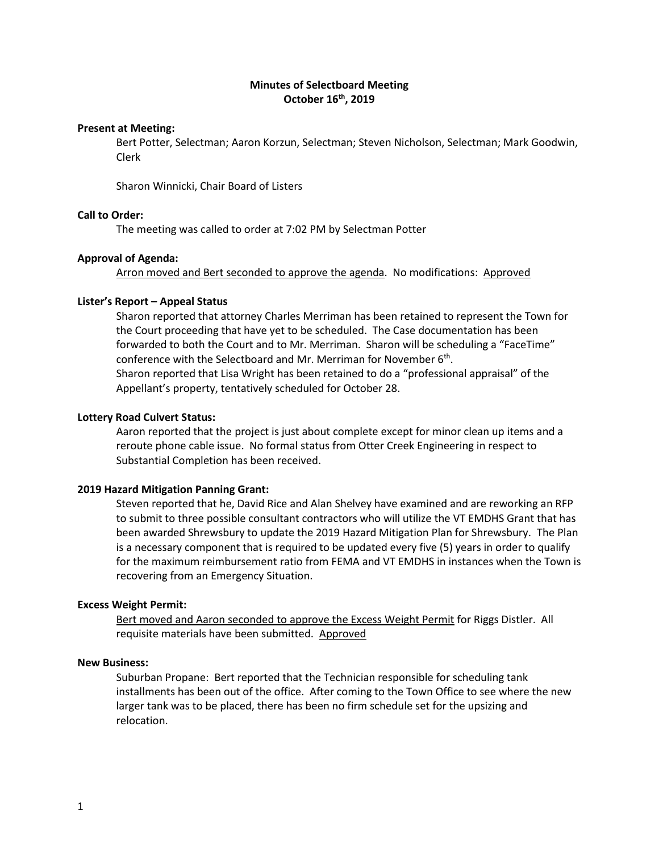# **Minutes of Selectboard Meeting October 16th, 2019**

### **Present at Meeting:**

Bert Potter, Selectman; Aaron Korzun, Selectman; Steven Nicholson, Selectman; Mark Goodwin, Clerk

Sharon Winnicki, Chair Board of Listers

# **Call to Order:**

The meeting was called to order at 7:02 PM by Selectman Potter

#### **Approval of Agenda:**

Arron moved and Bert seconded to approve the agenda. No modifications: Approved

## **Lister's Report – Appeal Status**

Sharon reported that attorney Charles Merriman has been retained to represent the Town for the Court proceeding that have yet to be scheduled. The Case documentation has been forwarded to both the Court and to Mr. Merriman. Sharon will be scheduling a "FaceTime" conference with the Selectboard and Mr. Merriman for November 6<sup>th</sup>. Sharon reported that Lisa Wright has been retained to do a "professional appraisal" of the Appellant's property, tentatively scheduled for October 28.

#### **Lottery Road Culvert Status:**

Aaron reported that the project is just about complete except for minor clean up items and a reroute phone cable issue. No formal status from Otter Creek Engineering in respect to Substantial Completion has been received.

# **2019 Hazard Mitigation Panning Grant:**

Steven reported that he, David Rice and Alan Shelvey have examined and are reworking an RFP to submit to three possible consultant contractors who will utilize the VT EMDHS Grant that has been awarded Shrewsbury to update the 2019 Hazard Mitigation Plan for Shrewsbury. The Plan is a necessary component that is required to be updated every five (5) years in order to qualify for the maximum reimbursement ratio from FEMA and VT EMDHS in instances when the Town is recovering from an Emergency Situation.

## **Excess Weight Permit:**

Bert moved and Aaron seconded to approve the Excess Weight Permit for Riggs Distler. All requisite materials have been submitted. Approved

# **New Business:**

Suburban Propane: Bert reported that the Technician responsible for scheduling tank installments has been out of the office. After coming to the Town Office to see where the new larger tank was to be placed, there has been no firm schedule set for the upsizing and relocation.